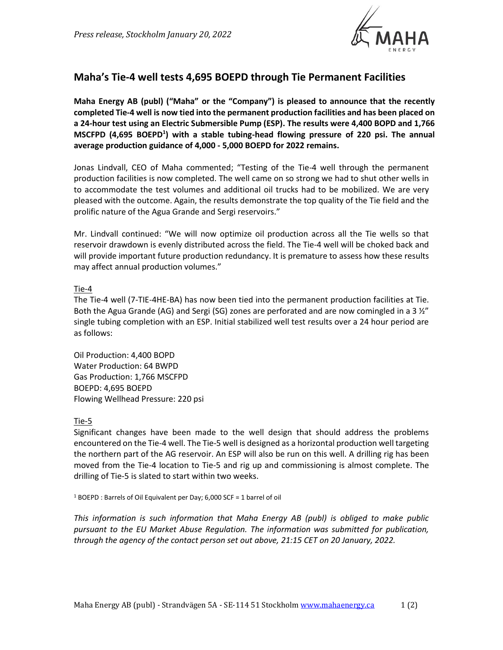

# **Maha's Tie-4 well tests 4,695 BOEPD through Tie Permanent Facilities**

**Maha Energy AB (publ) ("Maha" or the "Company") is pleased to announce that the recently completed Tie-4 well is now tied into the permanent production facilities and has been placed on a 24-hour test using an Electric Submersible Pump (ESP). The results were 4,400 BOPD and 1,766 MSCFPD (4,695 BOEPD<sup>1</sup> ) with a stable tubing-head flowing pressure of 220 psi. The annual average production guidance of 4,000 - 5,000 BOEPD for 2022 remains.**

Jonas Lindvall, CEO of Maha commented; "Testing of the Tie-4 well through the permanent production facilities is now completed. The well came on so strong we had to shut other wells in to accommodate the test volumes and additional oil trucks had to be mobilized. We are very pleased with the outcome. Again, the results demonstrate the top quality of the Tie field and the prolific nature of the Agua Grande and Sergi reservoirs."

Mr. Lindvall continued: "We will now optimize oil production across all the Tie wells so that reservoir drawdown is evenly distributed across the field. The Tie-4 well will be choked back and will provide important future production redundancy. It is premature to assess how these results may affect annual production volumes."

### Tie-4

The Tie-4 well (7-TIE-4HE-BA) has now been tied into the permanent production facilities at Tie. Both the Agua Grande (AG) and Sergi (SG) zones are perforated and are now comingled in a 3  $\frac{1}{2}$ " single tubing completion with an ESP. Initial stabilized well test results over a 24 hour period are as follows:

Oil Production: 4,400 BOPD Water Production: 64 BWPD Gas Production: 1,766 MSCFPD BOEPD: 4,695 BOEPD Flowing Wellhead Pressure: 220 psi

## Tie-5

Significant changes have been made to the well design that should address the problems encountered on the Tie-4 well. The Tie-5 well is designed as a horizontal production well targeting the northern part of the AG reservoir. An ESP will also be run on this well. A drilling rig has been moved from the Tie-4 location to Tie-5 and rig up and commissioning is almost complete. The drilling of Tie-5 is slated to start within two weeks.

<sup>1</sup> BOEPD : Barrels of Oil Equivalent per Day; 6,000 SCF = 1 barrel of oil

*This information is such information that Maha Energy AB (publ) is obliged to make public pursuant to the EU Market Abuse Regulation. The information was submitted for publication, through the agency of the contact person set out above, 21:15 CET on 20 January, 2022.*